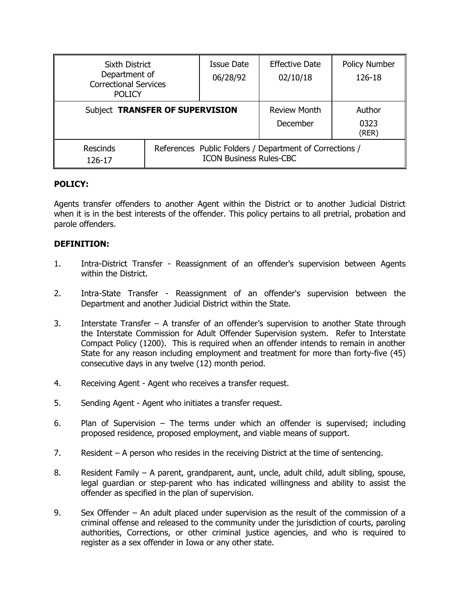| <b>Sixth District</b><br>Department of<br><b>Correctional Services</b><br><b>POLICY</b> |                                                                                           | <b>Issue Date</b><br>06/28/92 | <b>Effective Date</b><br>02/10/18 | <b>Policy Number</b><br>126-18 |
|-----------------------------------------------------------------------------------------|-------------------------------------------------------------------------------------------|-------------------------------|-----------------------------------|--------------------------------|
| Subject TRANSFER OF SUPERVISION                                                         |                                                                                           |                               | <b>Review Month</b><br>December   | Author<br>0323<br>(RER)        |
| <b>Rescinds</b><br>126-17                                                               | References Public Folders / Department of Corrections /<br><b>ICON Business Rules-CBC</b> |                               |                                   |                                |

### **POLICY:**

Agents transfer offenders to another Agent within the District or to another Judicial District when it is in the best interests of the offender. This policy pertains to all pretrial, probation and parole offenders.

### **DEFINITION:**

- 1. Intra-District Transfer Reassignment of an offender's supervision between Agents within the District.
- 2. Intra-State Transfer Reassignment of an offender's supervision between the Department and another Judicial District within the State.
- 3. Interstate Transfer A transfer of an offender's supervision to another State through the Interstate Commission for Adult Offender Supervision system. Refer to Interstate Compact Policy (1200). This is required when an offender intends to remain in another State for any reason including employment and treatment for more than forty-five (45) consecutive days in any twelve (12) month period.
- 4. Receiving Agent Agent who receives a transfer request.
- 5. Sending Agent Agent who initiates a transfer request.
- 6. Plan of Supervision The terms under which an offender is supervised; including proposed residence, proposed employment, and viable means of support.
- 7. Resident A person who resides in the receiving District at the time of sentencing.
- 8. Resident Family A parent, grandparent, aunt, uncle, adult child, adult sibling, spouse, legal guardian or step-parent who has indicated willingness and ability to assist the offender as specified in the plan of supervision.
- 9. Sex Offender An adult placed under supervision as the result of the commission of a criminal offense and released to the community under the jurisdiction of courts, paroling authorities, Corrections, or other criminal justice agencies, and who is required to register as a sex offender in Iowa or any other state.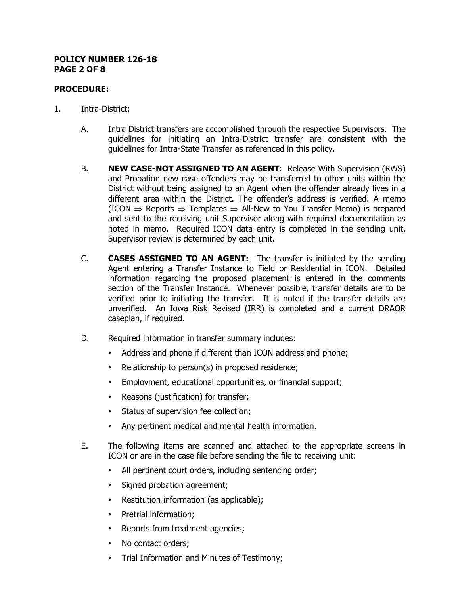#### **POLICY NUMBER 126-18 PAGE 2 OF 8**

## **PROCEDURE:**

- 1. Intra-District:
	- A. Intra District transfers are accomplished through the respective Supervisors. The guidelines for initiating an Intra-District transfer are consistent with the guidelines for Intra-State Transfer as referenced in this policy.
	- B. **NEW CASE-NOT ASSIGNED TO AN AGENT**: Release With Supervision (RWS) and Probation new case offenders may be transferred to other units within the District without being assigned to an Agent when the offender already lives in a different area within the District. The offender's address is verified. A memo (ICON  $\Rightarrow$  Reports  $\Rightarrow$  Templates  $\Rightarrow$  All-New to You Transfer Memo) is prepared and sent to the receiving unit Supervisor along with required documentation as noted in memo. Required ICON data entry is completed in the sending unit. Supervisor review is determined by each unit.
	- C. **CASES ASSIGNED TO AN AGENT:** The transfer is initiated by the sending Agent entering a Transfer Instance to Field or Residential in ICON. Detailed information regarding the proposed placement is entered in the comments section of the Transfer Instance. Whenever possible, transfer details are to be verified prior to initiating the transfer. It is noted if the transfer details are unverified. An Iowa Risk Revised (IRR) is completed and a current DRAOR caseplan, if required.
	- D. Required information in transfer summary includes:
		- Address and phone if different than ICON address and phone;
		- Relationship to person(s) in proposed residence;
		- Employment, educational opportunities, or financial support;
		- Reasons (justification) for transfer;
		- Status of supervision fee collection;
		- Any pertinent medical and mental health information.
	- E. The following items are scanned and attached to the appropriate screens in ICON or are in the case file before sending the file to receiving unit:
		- All pertinent court orders, including sentencing order;
		- Signed probation agreement;
		- Restitution information (as applicable);
		- Pretrial information;
		- Reports from treatment agencies;
		- No contact orders;
		- Trial Information and Minutes of Testimony;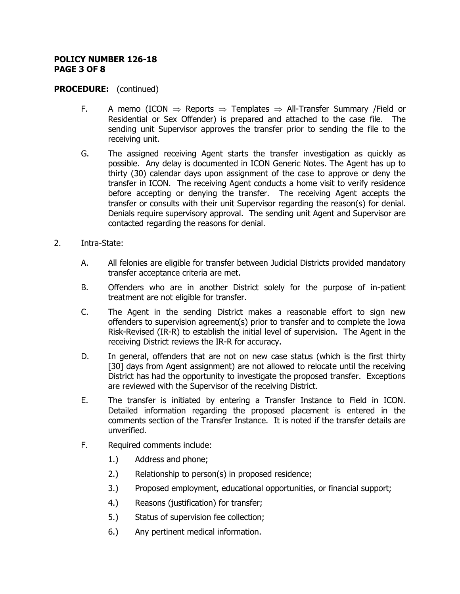### **POLICY NUMBER 126-18 PAGE 3 OF 8**

- F. A memo (ICON  $\Rightarrow$  Reports  $\Rightarrow$  Templates  $\Rightarrow$  All-Transfer Summary /Field or Residential or Sex Offender) is prepared and attached to the case file. The sending unit Supervisor approves the transfer prior to sending the file to the receiving unit.
- G. The assigned receiving Agent starts the transfer investigation as quickly as possible. Any delay is documented in ICON Generic Notes. The Agent has up to thirty (30) calendar days upon assignment of the case to approve or deny the transfer in ICON. The receiving Agent conducts a home visit to verify residence before accepting or denying the transfer. The receiving Agent accepts the transfer or consults with their unit Supervisor regarding the reason(s) for denial. Denials require supervisory approval. The sending unit Agent and Supervisor are contacted regarding the reasons for denial.
- 2. Intra-State:
	- A. All felonies are eligible for transfer between Judicial Districts provided mandatory transfer acceptance criteria are met.
	- B. Offenders who are in another District solely for the purpose of in-patient treatment are not eligible for transfer.
	- C. The Agent in the sending District makes a reasonable effort to sign new offenders to supervision agreement(s) prior to transfer and to complete the Iowa Risk-Revised (IR-R) to establish the initial level of supervision. The Agent in the receiving District reviews the IR-R for accuracy.
	- D. In general, offenders that are not on new case status (which is the first thirty [30] days from Agent assignment) are not allowed to relocate until the receiving District has had the opportunity to investigate the proposed transfer. Exceptions are reviewed with the Supervisor of the receiving District.
	- E. The transfer is initiated by entering a Transfer Instance to Field in ICON. Detailed information regarding the proposed placement is entered in the comments section of the Transfer Instance. It is noted if the transfer details are unverified.
	- F. Required comments include:
		- 1.) Address and phone;
		- 2.) Relationship to person(s) in proposed residence;
		- 3.) Proposed employment, educational opportunities, or financial support;
		- 4.) Reasons (justification) for transfer;
		- 5.) Status of supervision fee collection;
		- 6.) Any pertinent medical information.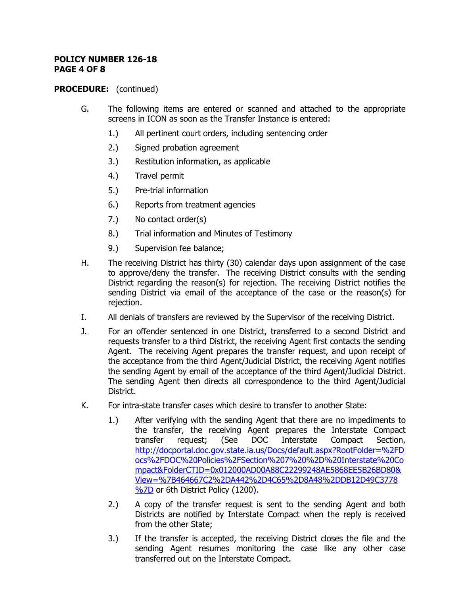### **POLICY NUMBER 126-18 PAGE 4 OF 8**

- G. The following items are entered or scanned and attached to the appropriate screens in ICON as soon as the Transfer Instance is entered:
	- 1.) All pertinent court orders, including sentencing order
	- 2.) Signed probation agreement
	- 3.) Restitution information, as applicable
	- 4.) Travel permit
	- 5.) Pre-trial information
	- 6.) Reports from treatment agencies
	- 7.) No contact order(s)
	- 8.) Trial information and Minutes of Testimony
	- 9.) Supervision fee balance;
- H. The receiving District has thirty (30) calendar days upon assignment of the case to approve/deny the transfer. The receiving District consults with the sending District regarding the reason(s) for rejection. The receiving District notifies the sending District via email of the acceptance of the case or the reason(s) for rejection.
- I. All denials of transfers are reviewed by the Supervisor of the receiving District.
- J. For an offender sentenced in one District, transferred to a second District and requests transfer to a third District, the receiving Agent first contacts the sending Agent. The receiving Agent prepares the transfer request, and upon receipt of the acceptance from the third Agent/Judicial District, the receiving Agent notifies the sending Agent by email of the acceptance of the third Agent/Judicial District. The sending Agent then directs all correspondence to the third Agent/Judicial District.
- K. For intra-state transfer cases which desire to transfer to another State:
	- 1.) After verifying with the sending Agent that there are no impediments to the transfer, the receiving Agent prepares the Interstate Compact transfer request; (See DOC Interstate Compact Section, [http://docportal.doc.gov.state.ia.us/Docs/default.aspx?RootFolder=%2FD](http://docportal.doc.gov.state.ia.us/Docs/default.aspx?RootFolder=%2FDocs%2FDOC%20Policies%2FSection%207%20%2D%20Interstate%20Compact&FolderCTID=0x012000AD00A88C22299248AE5868EE5B26BD80&View=%7B464667C2%2DA442%2D4C65%2D8A48%2DDB12D49C3778%7D) [ocs%2FDOC%20Policies%2FSection%207%20%2D%20Interstate%20Co](http://docportal.doc.gov.state.ia.us/Docs/default.aspx?RootFolder=%2FDocs%2FDOC%20Policies%2FSection%207%20%2D%20Interstate%20Compact&FolderCTID=0x012000AD00A88C22299248AE5868EE5B26BD80&View=%7B464667C2%2DA442%2D4C65%2D8A48%2DDB12D49C3778%7D) [mpact&FolderCTID=0x012000AD00A88C22299248AE5868EE5B26BD80&](http://docportal.doc.gov.state.ia.us/Docs/default.aspx?RootFolder=%2FDocs%2FDOC%20Policies%2FSection%207%20%2D%20Interstate%20Compact&FolderCTID=0x012000AD00A88C22299248AE5868EE5B26BD80&View=%7B464667C2%2DA442%2D4C65%2D8A48%2DDB12D49C3778%7D) [View=%7B464667C2%2DA442%2D4C65%2D8A48%2DDB12D49C3778](http://docportal.doc.gov.state.ia.us/Docs/default.aspx?RootFolder=%2FDocs%2FDOC%20Policies%2FSection%207%20%2D%20Interstate%20Compact&FolderCTID=0x012000AD00A88C22299248AE5868EE5B26BD80&View=%7B464667C2%2DA442%2D4C65%2D8A48%2DDB12D49C3778%7D) [%7D](http://docportal.doc.gov.state.ia.us/Docs/default.aspx?RootFolder=%2FDocs%2FDOC%20Policies%2FSection%207%20%2D%20Interstate%20Compact&FolderCTID=0x012000AD00A88C22299248AE5868EE5B26BD80&View=%7B464667C2%2DA442%2D4C65%2D8A48%2DDB12D49C3778%7D) or 6th District Policy (1200).
	- 2.) A copy of the transfer request is sent to the sending Agent and both Districts are notified by Interstate Compact when the reply is received from the other State;
	- 3.) If the transfer is accepted, the receiving District closes the file and the sending Agent resumes monitoring the case like any other case transferred out on the Interstate Compact.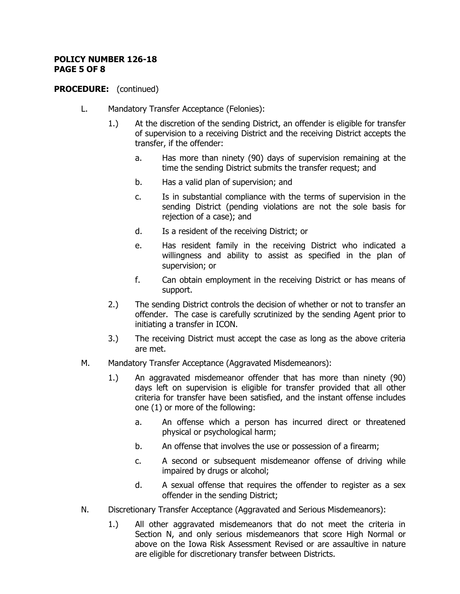### **POLICY NUMBER 126-18 PAGE 5 OF 8**

- L. Mandatory Transfer Acceptance (Felonies):
	- 1.) At the discretion of the sending District, an offender is eligible for transfer of supervision to a receiving District and the receiving District accepts the transfer, if the offender:
		- a. Has more than ninety (90) days of supervision remaining at the time the sending District submits the transfer request; and
		- b. Has a valid plan of supervision; and
		- c. Is in substantial compliance with the terms of supervision in the sending District (pending violations are not the sole basis for rejection of a case); and
		- d. Is a resident of the receiving District; or
		- e. Has resident family in the receiving District who indicated a willingness and ability to assist as specified in the plan of supervision; or
		- f. Can obtain employment in the receiving District or has means of support.
	- 2.) The sending District controls the decision of whether or not to transfer an offender. The case is carefully scrutinized by the sending Agent prior to initiating a transfer in ICON.
	- 3.) The receiving District must accept the case as long as the above criteria are met.
- M. Mandatory Transfer Acceptance (Aggravated Misdemeanors):
	- 1.) An aggravated misdemeanor offender that has more than ninety (90) days left on supervision is eligible for transfer provided that all other criteria for transfer have been satisfied, and the instant offense includes one (1) or more of the following:
		- a. An offense which a person has incurred direct or threatened physical or psychological harm;
		- b. An offense that involves the use or possession of a firearm;
		- c. A second or subsequent misdemeanor offense of driving while impaired by drugs or alcohol;
		- d. A sexual offense that requires the offender to register as a sex offender in the sending District;
- N. Discretionary Transfer Acceptance (Aggravated and Serious Misdemeanors):
	- 1.) All other aggravated misdemeanors that do not meet the criteria in Section N, and only serious misdemeanors that score High Normal or above on the Iowa Risk Assessment Revised or are assaultive in nature are eligible for discretionary transfer between Districts.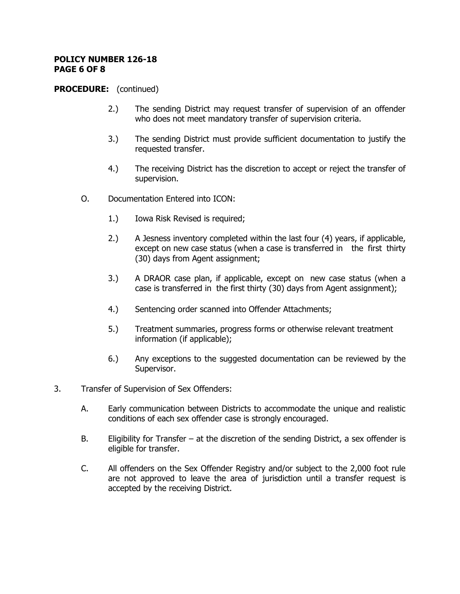### **POLICY NUMBER 126-18 PAGE 6 OF 8**

- 2.) The sending District may request transfer of supervision of an offender who does not meet mandatory transfer of supervision criteria.
- 3.) The sending District must provide sufficient documentation to justify the requested transfer.
- 4.) The receiving District has the discretion to accept or reject the transfer of supervision.
- O. Documentation Entered into ICON:
	- 1.) Iowa Risk Revised is required;
	- 2.) A Jesness inventory completed within the last four (4) years, if applicable, except on new case status (when a case is transferred in the first thirty (30) days from Agent assignment;
	- 3.) A DRAOR case plan, if applicable, except on new case status (when a case is transferred in the first thirty (30) days from Agent assignment);
	- 4.) Sentencing order scanned into Offender Attachments;
	- 5.) Treatment summaries, progress forms or otherwise relevant treatment information (if applicable);
	- 6.) Any exceptions to the suggested documentation can be reviewed by the Supervisor.
- 3. Transfer of Supervision of Sex Offenders:
	- A. Early communication between Districts to accommodate the unique and realistic conditions of each sex offender case is strongly encouraged.
	- B. Eligibility for Transfer at the discretion of the sending District, a sex offender is eligible for transfer.
	- C. All offenders on the Sex Offender Registry and/or subject to the 2,000 foot rule are not approved to leave the area of jurisdiction until a transfer request is accepted by the receiving District.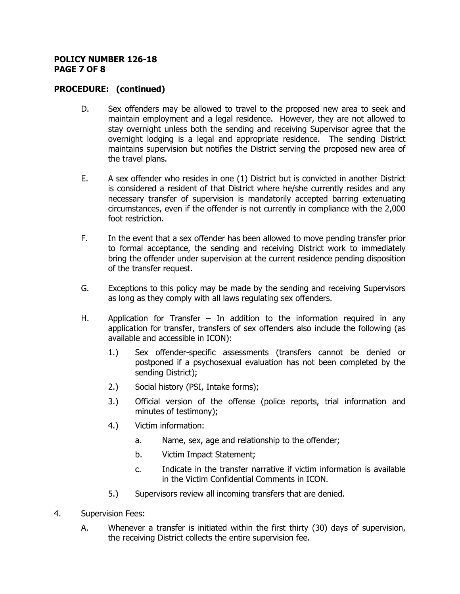#### **POLICY NUMBER 126-18 PAGE 7 OF 8**

- D. Sex offenders may be allowed to travel to the proposed new area to seek and maintain employment and a legal residence. However, they are not allowed to stay overnight unless both the sending and receiving Supervisor agree that the overnight lodging is a legal and appropriate residence. The sending District maintains supervision but notifies the District serving the proposed new area of the travel plans.
- E. A sex offender who resides in one (1) District but is convicted in another District is considered a resident of that District where he/she currently resides and any necessary transfer of supervision is mandatorily accepted barring extenuating circumstances, even if the offender is not currently in compliance with the 2,000 foot restriction.
- F. In the event that a sex offender has been allowed to move pending transfer prior to formal acceptance, the sending and receiving District work to immediately bring the offender under supervision at the current residence pending disposition of the transfer request.
- G. Exceptions to this policy may be made by the sending and receiving Supervisors as long as they comply with all laws regulating sex offenders.
- H. Application for Transfer  $-$  In addition to the information required in any application for transfer, transfers of sex offenders also include the following (as available and accessible in ICON):
	- 1.) Sex offender-specific assessments (transfers cannot be denied or postponed if a psychosexual evaluation has not been completed by the sending District);
	- 2.) Social history (PSI, Intake forms);
	- 3.) Official version of the offense (police reports, trial information and minutes of testimony);
	- 4.) Victim information:
		- a. Name, sex, age and relationship to the offender;
		- b. Victim Impact Statement;
		- c. Indicate in the transfer narrative if victim information is available in the Victim Confidential Comments in ICON.
	- 5.) Supervisors review all incoming transfers that are denied.
- 4. Supervision Fees:
	- A. Whenever a transfer is initiated within the first thirty (30) days of supervision, the receiving District collects the entire supervision fee.